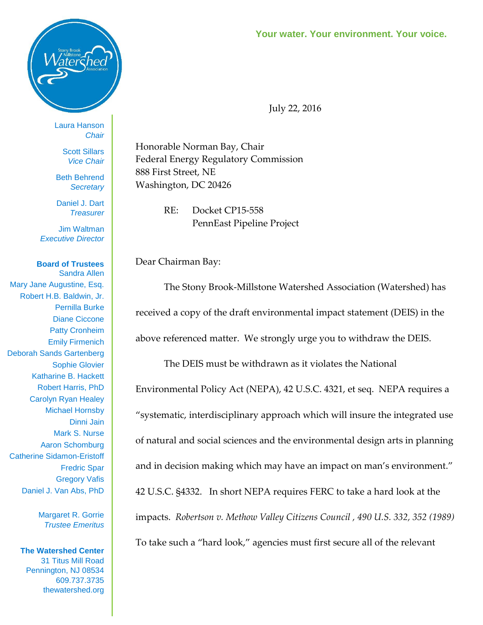



Laura Hanson *Chair*

> Scott Sillars *Vice Chair*

Beth Behrend *Secretary*

Daniel J. Dart *Treasurer*

Jim Waltman *Executive Director*

**Board of Trustees** Sandra Allen Mary Jane Augustine, Esq. Robert H.B. Baldwin, Jr. Pernilla Burke Diane Ciccone Patty Cronheim Emily Firmenich Deborah Sands Gartenberg Sophie Glovier Katharine B. Hackett Robert Harris, PhD Carolyn Ryan Healey Michael Hornsby Dinni Jain Mark S. Nurse Aaron Schomburg Catherine Sidamon-Eristoff Fredric Spar Gregory Vafis Daniel J. Van Abs, PhD

> Margaret R. Gorrie *Trustee Emeritus*

**The Watershed Center** 31 Titus Mill Road Pennington, NJ 08534 609.737.3735 thewatershed.org July 22, 2016

Honorable Norman Bay, Chair Federal Energy Regulatory Commission 888 First Street, NE Washington, DC 20426

> RE: Docket CP15-558 PennEast Pipeline Project

Dear Chairman Bay:

The Stony Brook-Millstone Watershed Association (Watershed) has received a copy of the draft environmental impact statement (DEIS) in the above referenced matter. We strongly urge you to withdraw the DEIS.

The DEIS must be withdrawn as it violates the National Environmental Policy Act (NEPA), 42 U.S.C. 4321, et seq. NEPA requires a "systematic, interdisciplinary approach which will insure the integrated use of natural and social sciences and the environmental design arts in planning and in decision making which may have an impact on man's environment." 42 U.S.C. §4332. In short NEPA requires FERC to take a hard look at the impacts. *Robertson v. Methow Valley Citizens Council , 490 U.S. 332, 352 (1989)*  To take such a "hard look," agencies must first secure all of the relevant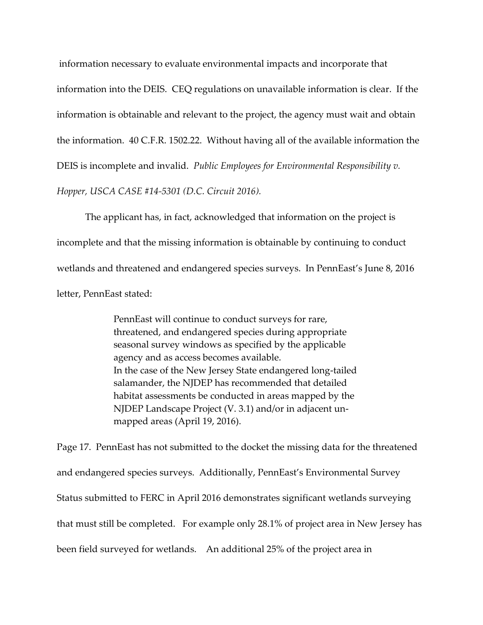information necessary to evaluate environmental impacts and incorporate that information into the DEIS. CEQ regulations on unavailable information is clear. If the information is obtainable and relevant to the project, the agency must wait and obtain the information. 40 C.F.R. 1502.22. Without having all of the available information the DEIS is incomplete and invalid. *Public Employees for Environmental Responsibility v. Hopper, USCA CASE #14-5301 (D.C. Circuit 2016).*

The applicant has, in fact, acknowledged that information on the project is incomplete and that the missing information is obtainable by continuing to conduct wetlands and threatened and endangered species surveys. In PennEast's June 8, 2016 letter, PennEast stated:

> PennEast will continue to conduct surveys for rare, threatened, and endangered species during appropriate seasonal survey windows as specified by the applicable agency and as access becomes available. In the case of the New Jersey State endangered long-tailed salamander, the NJDEP has recommended that detailed habitat assessments be conducted in areas mapped by the NJDEP Landscape Project (V. 3.1) and/or in adjacent unmapped areas (April 19, 2016).

Page 17. PennEast has not submitted to the docket the missing data for the threatened and endangered species surveys. Additionally, PennEast's Environmental Survey Status submitted to FERC in April 2016 demonstrates significant wetlands surveying that must still be completed. For example only 28.1% of project area in New Jersey has been field surveyed for wetlands. An additional 25% of the project area in